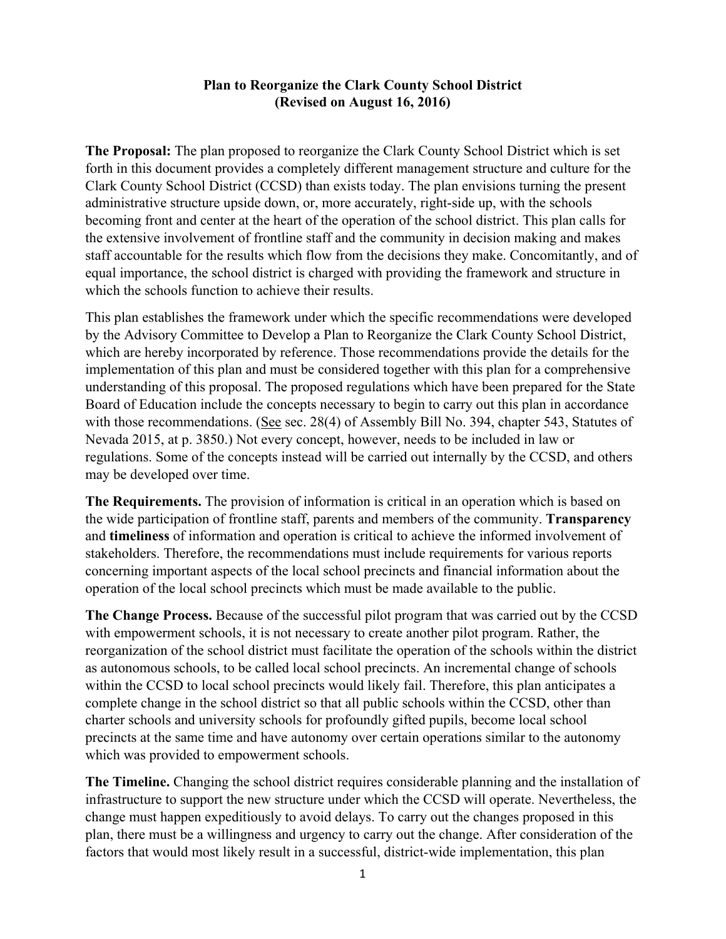## **Plan to Reorganize the Clark County School District (Revised on August 16, 2016)**

**The Proposal:** The plan proposed to reorganize the Clark County School District which is set forth in this document provides a completely different management structure and culture for the Clark County School District (CCSD) than exists today. The plan envisions turning the present administrative structure upside down, or, more accurately, right-side up, with the schools becoming front and center at the heart of the operation of the school district. This plan calls for the extensive involvement of frontline staff and the community in decision making and makes staff accountable for the results which flow from the decisions they make. Concomitantly, and of equal importance, the school district is charged with providing the framework and structure in which the schools function to achieve their results.

This plan establishes the framework under which the specific recommendations were developed by the Advisory Committee to Develop a Plan to Reorganize the Clark County School District, which are hereby incorporated by reference. Those recommendations provide the details for the implementation of this plan and must be considered together with this plan for a comprehensive understanding of this proposal. The proposed regulations which have been prepared for the State Board of Education include the concepts necessary to begin to carry out this plan in accordance with those recommendations. (See sec. 28(4) of Assembly Bill No. 394, chapter 543, Statutes of Nevada 2015, at p. 3850.) Not every concept, however, needs to be included in law or regulations. Some of the concepts instead will be carried out internally by the CCSD, and others may be developed over time.

**The Requirements.** The provision of information is critical in an operation which is based on the wide participation of frontline staff, parents and members of the community. **Transparency** and **timeliness** of information and operation is critical to achieve the informed involvement of stakeholders. Therefore, the recommendations must include requirements for various reports concerning important aspects of the local school precincts and financial information about the operation of the local school precincts which must be made available to the public.

**The Change Process.** Because of the successful pilot program that was carried out by the CCSD with empowerment schools, it is not necessary to create another pilot program. Rather, the reorganization of the school district must facilitate the operation of the schools within the district as autonomous schools, to be called local school precincts. An incremental change of schools within the CCSD to local school precincts would likely fail. Therefore, this plan anticipates a complete change in the school district so that all public schools within the CCSD, other than charter schools and university schools for profoundly gifted pupils, become local school precincts at the same time and have autonomy over certain operations similar to the autonomy which was provided to empowerment schools.

**The Timeline.** Changing the school district requires considerable planning and the installation of infrastructure to support the new structure under which the CCSD will operate. Nevertheless, the change must happen expeditiously to avoid delays. To carry out the changes proposed in this plan, there must be a willingness and urgency to carry out the change. After consideration of the factors that would most likely result in a successful, district-wide implementation, this plan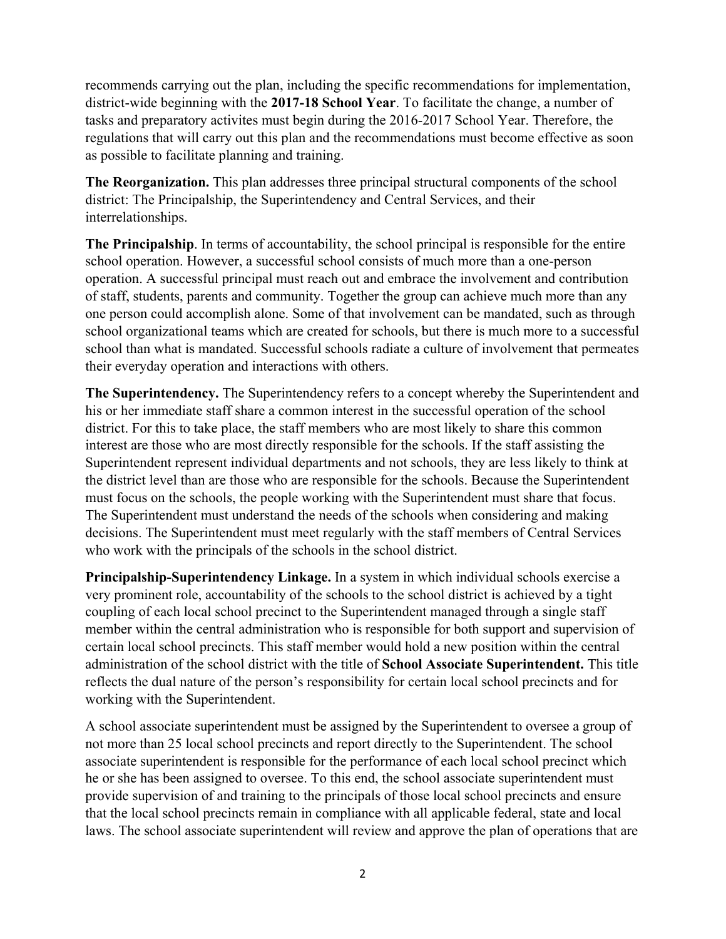recommends carrying out the plan, including the specific recommendations for implementation, district-wide beginning with the **2017-18 School Year**. To facilitate the change, a number of tasks and preparatory activites must begin during the 2016-2017 School Year. Therefore, the regulations that will carry out this plan and the recommendations must become effective as soon as possible to facilitate planning and training.

**The Reorganization.** This plan addresses three principal structural components of the school district: The Principalship, the Superintendency and Central Services, and their interrelationships.

**The Principalship**. In terms of accountability, the school principal is responsible for the entire school operation. However, a successful school consists of much more than a one-person operation. A successful principal must reach out and embrace the involvement and contribution of staff, students, parents and community. Together the group can achieve much more than any one person could accomplish alone. Some of that involvement can be mandated, such as through school organizational teams which are created for schools, but there is much more to a successful school than what is mandated. Successful schools radiate a culture of involvement that permeates their everyday operation and interactions with others.

**The Superintendency.** The Superintendency refers to a concept whereby the Superintendent and his or her immediate staff share a common interest in the successful operation of the school district. For this to take place, the staff members who are most likely to share this common interest are those who are most directly responsible for the schools. If the staff assisting the Superintendent represent individual departments and not schools, they are less likely to think at the district level than are those who are responsible for the schools. Because the Superintendent must focus on the schools, the people working with the Superintendent must share that focus. The Superintendent must understand the needs of the schools when considering and making decisions. The Superintendent must meet regularly with the staff members of Central Services who work with the principals of the schools in the school district.

**Principalship-Superintendency Linkage.** In a system in which individual schools exercise a very prominent role, accountability of the schools to the school district is achieved by a tight coupling of each local school precinct to the Superintendent managed through a single staff member within the central administration who is responsible for both support and supervision of certain local school precincts. This staff member would hold a new position within the central administration of the school district with the title of **School Associate Superintendent.** This title reflects the dual nature of the person's responsibility for certain local school precincts and for working with the Superintendent.

A school associate superintendent must be assigned by the Superintendent to oversee a group of not more than 25 local school precincts and report directly to the Superintendent. The school associate superintendent is responsible for the performance of each local school precinct which he or she has been assigned to oversee. To this end, the school associate superintendent must provide supervision of and training to the principals of those local school precincts and ensure that the local school precincts remain in compliance with all applicable federal, state and local laws. The school associate superintendent will review and approve the plan of operations that are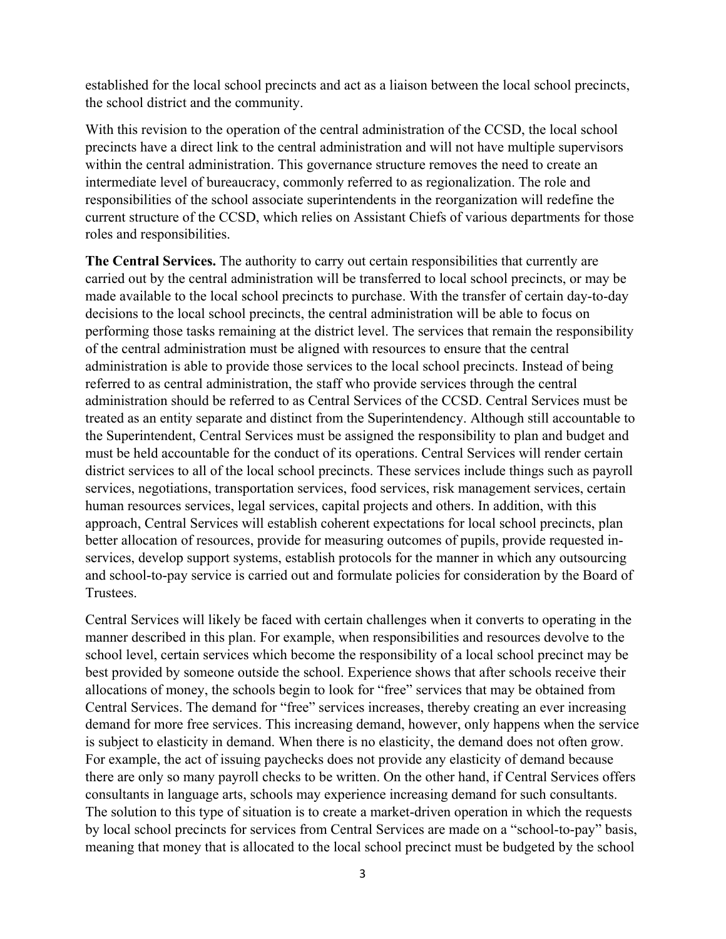established for the local school precincts and act as a liaison between the local school precincts, the school district and the community.

With this revision to the operation of the central administration of the CCSD, the local school precincts have a direct link to the central administration and will not have multiple supervisors within the central administration. This governance structure removes the need to create an intermediate level of bureaucracy, commonly referred to as regionalization. The role and responsibilities of the school associate superintendents in the reorganization will redefine the current structure of the CCSD, which relies on Assistant Chiefs of various departments for those roles and responsibilities.

**The Central Services.** The authority to carry out certain responsibilities that currently are carried out by the central administration will be transferred to local school precincts, or may be made available to the local school precincts to purchase. With the transfer of certain day-to-day decisions to the local school precincts, the central administration will be able to focus on performing those tasks remaining at the district level. The services that remain the responsibility of the central administration must be aligned with resources to ensure that the central administration is able to provide those services to the local school precincts. Instead of being referred to as central administration, the staff who provide services through the central administration should be referred to as Central Services of the CCSD. Central Services must be treated as an entity separate and distinct from the Superintendency. Although still accountable to the Superintendent, Central Services must be assigned the responsibility to plan and budget and must be held accountable for the conduct of its operations. Central Services will render certain district services to all of the local school precincts. These services include things such as payroll services, negotiations, transportation services, food services, risk management services, certain human resources services, legal services, capital projects and others. In addition, with this approach, Central Services will establish coherent expectations for local school precincts, plan better allocation of resources, provide for measuring outcomes of pupils, provide requested inservices, develop support systems, establish protocols for the manner in which any outsourcing and school-to-pay service is carried out and formulate policies for consideration by the Board of Trustees.

Central Services will likely be faced with certain challenges when it converts to operating in the manner described in this plan. For example, when responsibilities and resources devolve to the school level, certain services which become the responsibility of a local school precinct may be best provided by someone outside the school. Experience shows that after schools receive their allocations of money, the schools begin to look for "free" services that may be obtained from Central Services. The demand for "free" services increases, thereby creating an ever increasing demand for more free services. This increasing demand, however, only happens when the service is subject to elasticity in demand. When there is no elasticity, the demand does not often grow. For example, the act of issuing paychecks does not provide any elasticity of demand because there are only so many payroll checks to be written. On the other hand, if Central Services offers consultants in language arts, schools may experience increasing demand for such consultants. The solution to this type of situation is to create a market-driven operation in which the requests by local school precincts for services from Central Services are made on a "school-to-pay" basis, meaning that money that is allocated to the local school precinct must be budgeted by the school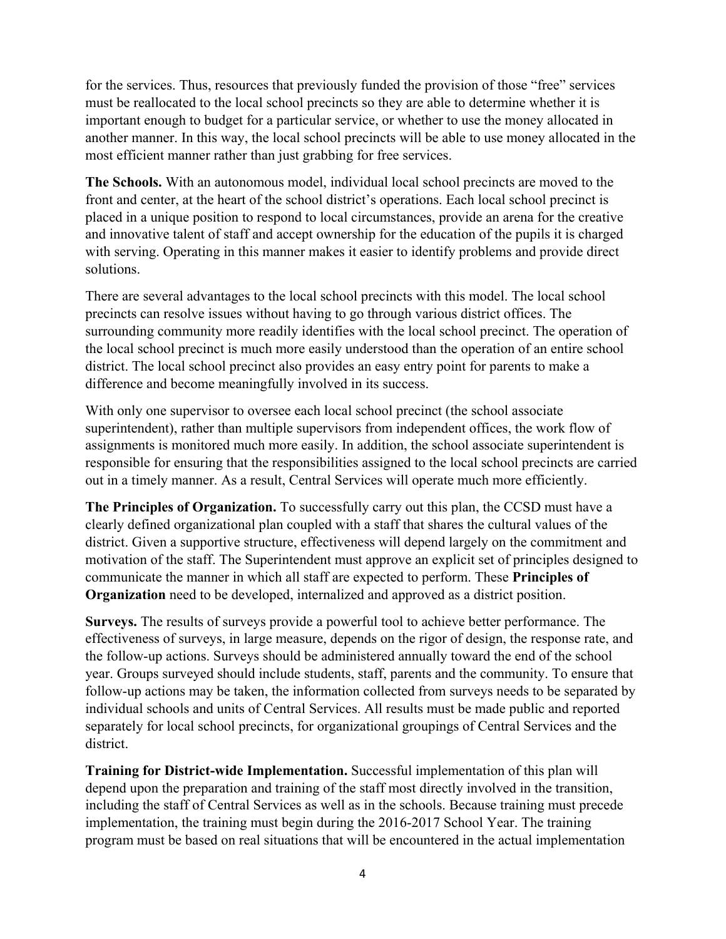for the services. Thus, resources that previously funded the provision of those "free" services must be reallocated to the local school precincts so they are able to determine whether it is important enough to budget for a particular service, or whether to use the money allocated in another manner. In this way, the local school precincts will be able to use money allocated in the most efficient manner rather than just grabbing for free services.

**The Schools.** With an autonomous model, individual local school precincts are moved to the front and center, at the heart of the school district's operations. Each local school precinct is placed in a unique position to respond to local circumstances, provide an arena for the creative and innovative talent of staff and accept ownership for the education of the pupils it is charged with serving. Operating in this manner makes it easier to identify problems and provide direct solutions.

There are several advantages to the local school precincts with this model. The local school precincts can resolve issues without having to go through various district offices. The surrounding community more readily identifies with the local school precinct. The operation of the local school precinct is much more easily understood than the operation of an entire school district. The local school precinct also provides an easy entry point for parents to make a difference and become meaningfully involved in its success.

With only one supervisor to oversee each local school precinct (the school associate superintendent), rather than multiple supervisors from independent offices, the work flow of assignments is monitored much more easily. In addition, the school associate superintendent is responsible for ensuring that the responsibilities assigned to the local school precincts are carried out in a timely manner. As a result, Central Services will operate much more efficiently.

**The Principles of Organization.** To successfully carry out this plan, the CCSD must have a clearly defined organizational plan coupled with a staff that shares the cultural values of the district. Given a supportive structure, effectiveness will depend largely on the commitment and motivation of the staff. The Superintendent must approve an explicit set of principles designed to communicate the manner in which all staff are expected to perform. These **Principles of Organization** need to be developed, internalized and approved as a district position.

**Surveys.** The results of surveys provide a powerful tool to achieve better performance. The effectiveness of surveys, in large measure, depends on the rigor of design, the response rate, and the follow-up actions. Surveys should be administered annually toward the end of the school year. Groups surveyed should include students, staff, parents and the community. To ensure that follow-up actions may be taken, the information collected from surveys needs to be separated by individual schools and units of Central Services. All results must be made public and reported separately for local school precincts, for organizational groupings of Central Services and the district.

**Training for District-wide Implementation.** Successful implementation of this plan will depend upon the preparation and training of the staff most directly involved in the transition, including the staff of Central Services as well as in the schools. Because training must precede implementation, the training must begin during the 2016-2017 School Year. The training program must be based on real situations that will be encountered in the actual implementation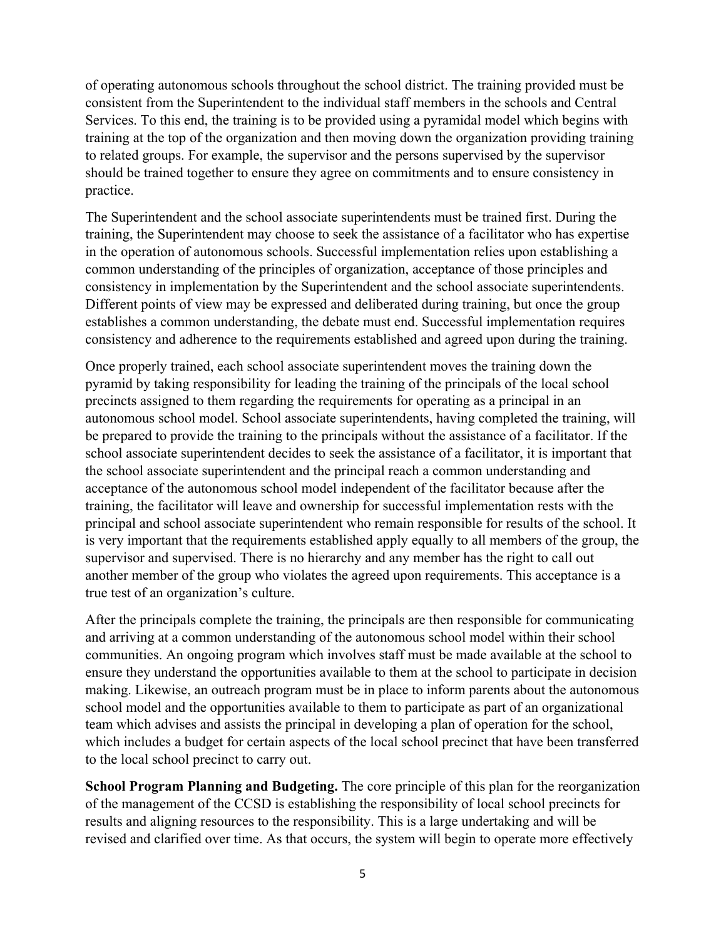of operating autonomous schools throughout the school district. The training provided must be consistent from the Superintendent to the individual staff members in the schools and Central Services. To this end, the training is to be provided using a pyramidal model which begins with training at the top of the organization and then moving down the organization providing training to related groups. For example, the supervisor and the persons supervised by the supervisor should be trained together to ensure they agree on commitments and to ensure consistency in practice.

The Superintendent and the school associate superintendents must be trained first. During the training, the Superintendent may choose to seek the assistance of a facilitator who has expertise in the operation of autonomous schools. Successful implementation relies upon establishing a common understanding of the principles of organization, acceptance of those principles and consistency in implementation by the Superintendent and the school associate superintendents. Different points of view may be expressed and deliberated during training, but once the group establishes a common understanding, the debate must end. Successful implementation requires consistency and adherence to the requirements established and agreed upon during the training.

Once properly trained, each school associate superintendent moves the training down the pyramid by taking responsibility for leading the training of the principals of the local school precincts assigned to them regarding the requirements for operating as a principal in an autonomous school model. School associate superintendents, having completed the training, will be prepared to provide the training to the principals without the assistance of a facilitator. If the school associate superintendent decides to seek the assistance of a facilitator, it is important that the school associate superintendent and the principal reach a common understanding and acceptance of the autonomous school model independent of the facilitator because after the training, the facilitator will leave and ownership for successful implementation rests with the principal and school associate superintendent who remain responsible for results of the school. It is very important that the requirements established apply equally to all members of the group, the supervisor and supervised. There is no hierarchy and any member has the right to call out another member of the group who violates the agreed upon requirements. This acceptance is a true test of an organization's culture.

After the principals complete the training, the principals are then responsible for communicating and arriving at a common understanding of the autonomous school model within their school communities. An ongoing program which involves staff must be made available at the school to ensure they understand the opportunities available to them at the school to participate in decision making. Likewise, an outreach program must be in place to inform parents about the autonomous school model and the opportunities available to them to participate as part of an organizational team which advises and assists the principal in developing a plan of operation for the school, which includes a budget for certain aspects of the local school precinct that have been transferred to the local school precinct to carry out.

**School Program Planning and Budgeting.** The core principle of this plan for the reorganization of the management of the CCSD is establishing the responsibility of local school precincts for results and aligning resources to the responsibility. This is a large undertaking and will be revised and clarified over time. As that occurs, the system will begin to operate more effectively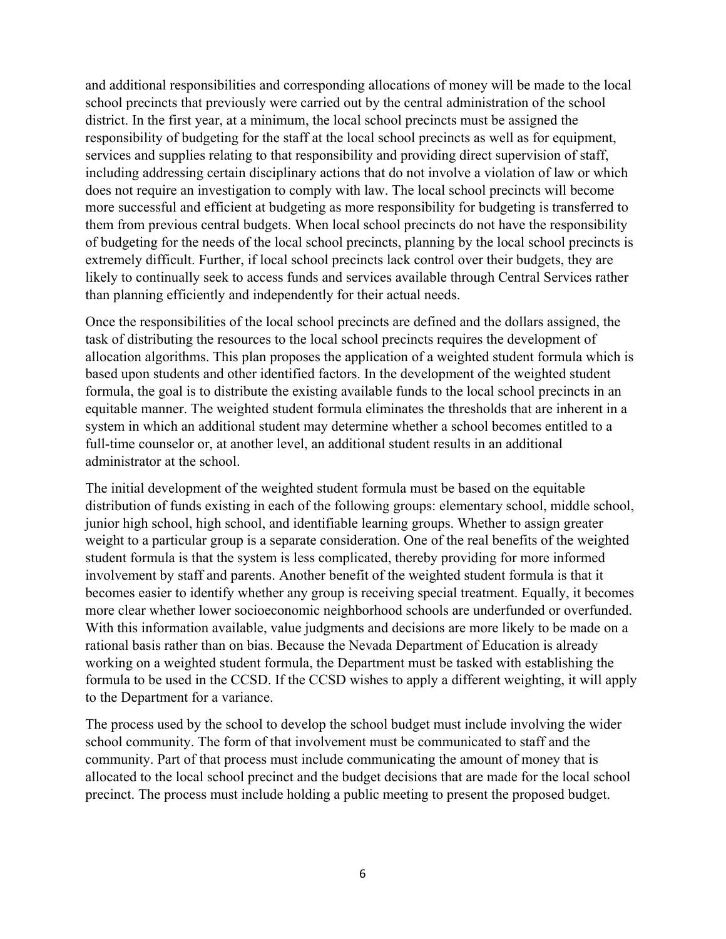and additional responsibilities and corresponding allocations of money will be made to the local school precincts that previously were carried out by the central administration of the school district. In the first year, at a minimum, the local school precincts must be assigned the responsibility of budgeting for the staff at the local school precincts as well as for equipment, services and supplies relating to that responsibility and providing direct supervision of staff, including addressing certain disciplinary actions that do not involve a violation of law or which does not require an investigation to comply with law. The local school precincts will become more successful and efficient at budgeting as more responsibility for budgeting is transferred to them from previous central budgets. When local school precincts do not have the responsibility of budgeting for the needs of the local school precincts, planning by the local school precincts is extremely difficult. Further, if local school precincts lack control over their budgets, they are likely to continually seek to access funds and services available through Central Services rather than planning efficiently and independently for their actual needs.

Once the responsibilities of the local school precincts are defined and the dollars assigned, the task of distributing the resources to the local school precincts requires the development of allocation algorithms. This plan proposes the application of a weighted student formula which is based upon students and other identified factors. In the development of the weighted student formula, the goal is to distribute the existing available funds to the local school precincts in an equitable manner. The weighted student formula eliminates the thresholds that are inherent in a system in which an additional student may determine whether a school becomes entitled to a full-time counselor or, at another level, an additional student results in an additional administrator at the school.

The initial development of the weighted student formula must be based on the equitable distribution of funds existing in each of the following groups: elementary school, middle school, junior high school, high school, and identifiable learning groups. Whether to assign greater weight to a particular group is a separate consideration. One of the real benefits of the weighted student formula is that the system is less complicated, thereby providing for more informed involvement by staff and parents. Another benefit of the weighted student formula is that it becomes easier to identify whether any group is receiving special treatment. Equally, it becomes more clear whether lower socioeconomic neighborhood schools are underfunded or overfunded. With this information available, value judgments and decisions are more likely to be made on a rational basis rather than on bias. Because the Nevada Department of Education is already working on a weighted student formula, the Department must be tasked with establishing the formula to be used in the CCSD. If the CCSD wishes to apply a different weighting, it will apply to the Department for a variance.

The process used by the school to develop the school budget must include involving the wider school community. The form of that involvement must be communicated to staff and the community. Part of that process must include communicating the amount of money that is allocated to the local school precinct and the budget decisions that are made for the local school precinct. The process must include holding a public meeting to present the proposed budget.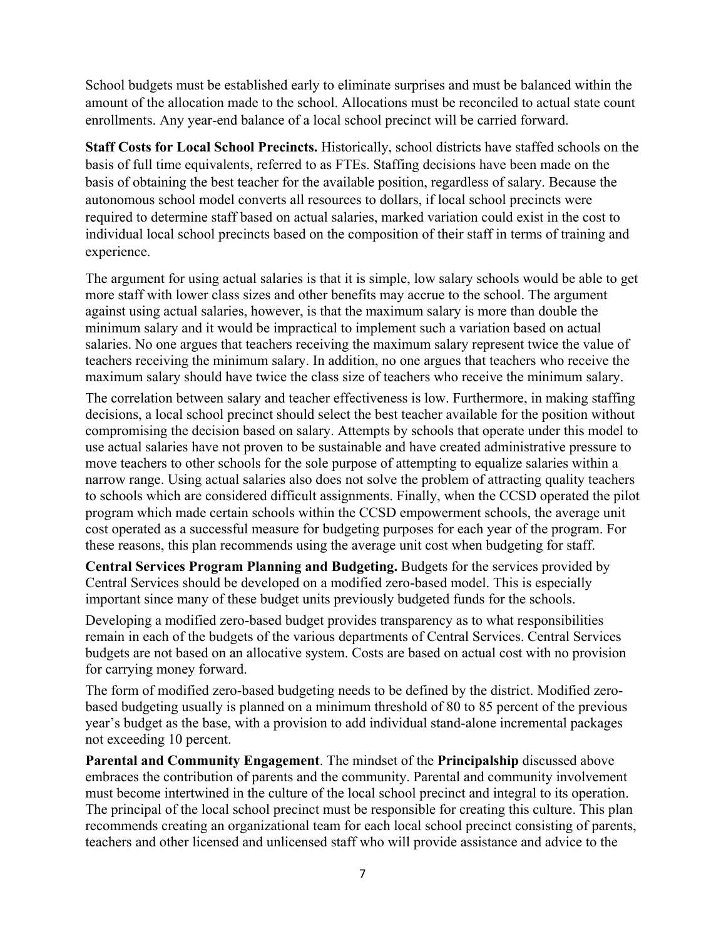School budgets must be established early to eliminate surprises and must be balanced within the amount of the allocation made to the school. Allocations must be reconciled to actual state count enrollments. Any year-end balance of a local school precinct will be carried forward.

**Staff Costs for Local School Precincts.** Historically, school districts have staffed schools on the basis of full time equivalents, referred to as FTEs. Staffing decisions have been made on the basis of obtaining the best teacher for the available position, regardless of salary. Because the autonomous school model converts all resources to dollars, if local school precincts were required to determine staff based on actual salaries, marked variation could exist in the cost to individual local school precincts based on the composition of their staff in terms of training and experience.

The argument for using actual salaries is that it is simple, low salary schools would be able to get more staff with lower class sizes and other benefits may accrue to the school. The argument against using actual salaries, however, is that the maximum salary is more than double the minimum salary and it would be impractical to implement such a variation based on actual salaries. No one argues that teachers receiving the maximum salary represent twice the value of teachers receiving the minimum salary. In addition, no one argues that teachers who receive the maximum salary should have twice the class size of teachers who receive the minimum salary.

The correlation between salary and teacher effectiveness is low. Furthermore, in making staffing decisions, a local school precinct should select the best teacher available for the position without compromising the decision based on salary. Attempts by schools that operate under this model to use actual salaries have not proven to be sustainable and have created administrative pressure to move teachers to other schools for the sole purpose of attempting to equalize salaries within a narrow range. Using actual salaries also does not solve the problem of attracting quality teachers to schools which are considered difficult assignments. Finally, when the CCSD operated the pilot program which made certain schools within the CCSD empowerment schools, the average unit cost operated as a successful measure for budgeting purposes for each year of the program. For these reasons, this plan recommends using the average unit cost when budgeting for staff.

**Central Services Program Planning and Budgeting.** Budgets for the services provided by Central Services should be developed on a modified zero-based model. This is especially important since many of these budget units previously budgeted funds for the schools.

Developing a modified zero-based budget provides transparency as to what responsibilities remain in each of the budgets of the various departments of Central Services. Central Services budgets are not based on an allocative system. Costs are based on actual cost with no provision for carrying money forward.

The form of modified zero-based budgeting needs to be defined by the district. Modified zerobased budgeting usually is planned on a minimum threshold of 80 to 85 percent of the previous year's budget as the base, with a provision to add individual stand-alone incremental packages not exceeding 10 percent.

**Parental and Community Engagement**. The mindset of the **Principalship** discussed above embraces the contribution of parents and the community. Parental and community involvement must become intertwined in the culture of the local school precinct and integral to its operation. The principal of the local school precinct must be responsible for creating this culture. This plan recommends creating an organizational team for each local school precinct consisting of parents, teachers and other licensed and unlicensed staff who will provide assistance and advice to the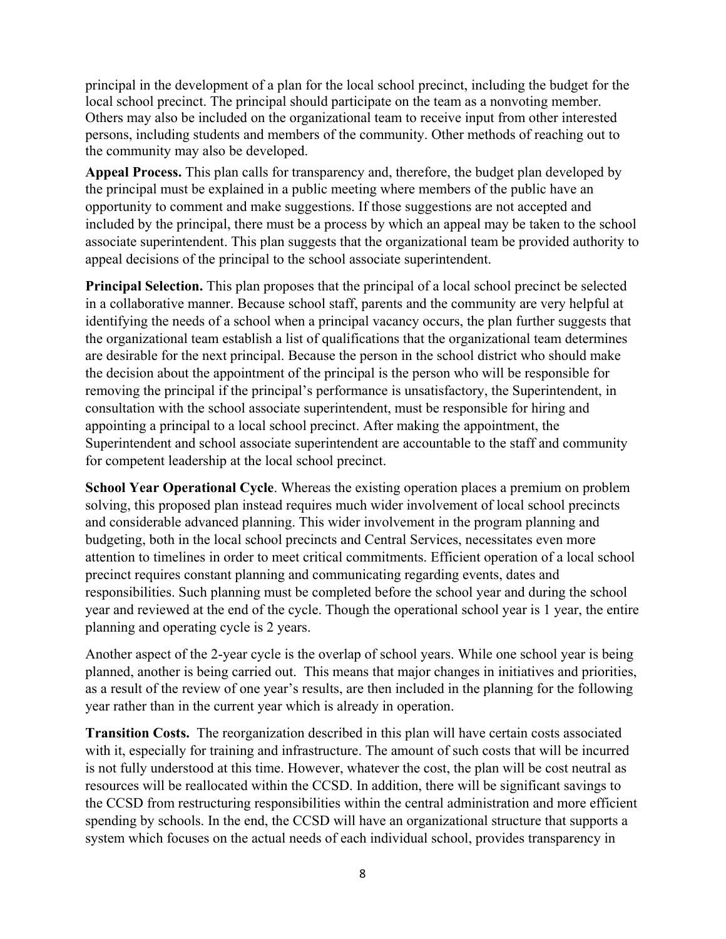principal in the development of a plan for the local school precinct, including the budget for the local school precinct. The principal should participate on the team as a nonvoting member. Others may also be included on the organizational team to receive input from other interested persons, including students and members of the community. Other methods of reaching out to the community may also be developed.

**Appeal Process.** This plan calls for transparency and, therefore, the budget plan developed by the principal must be explained in a public meeting where members of the public have an opportunity to comment and make suggestions. If those suggestions are not accepted and included by the principal, there must be a process by which an appeal may be taken to the school associate superintendent. This plan suggests that the organizational team be provided authority to appeal decisions of the principal to the school associate superintendent.

**Principal Selection.** This plan proposes that the principal of a local school precinct be selected in a collaborative manner. Because school staff, parents and the community are very helpful at identifying the needs of a school when a principal vacancy occurs, the plan further suggests that the organizational team establish a list of qualifications that the organizational team determines are desirable for the next principal. Because the person in the school district who should make the decision about the appointment of the principal is the person who will be responsible for removing the principal if the principal's performance is unsatisfactory, the Superintendent, in consultation with the school associate superintendent, must be responsible for hiring and appointing a principal to a local school precinct. After making the appointment, the Superintendent and school associate superintendent are accountable to the staff and community for competent leadership at the local school precinct.

**School Year Operational Cycle**. Whereas the existing operation places a premium on problem solving, this proposed plan instead requires much wider involvement of local school precincts and considerable advanced planning. This wider involvement in the program planning and budgeting, both in the local school precincts and Central Services, necessitates even more attention to timelines in order to meet critical commitments. Efficient operation of a local school precinct requires constant planning and communicating regarding events, dates and responsibilities. Such planning must be completed before the school year and during the school year and reviewed at the end of the cycle. Though the operational school year is 1 year, the entire planning and operating cycle is 2 years.

Another aspect of the 2-year cycle is the overlap of school years. While one school year is being planned, another is being carried out. This means that major changes in initiatives and priorities, as a result of the review of one year's results, are then included in the planning for the following year rather than in the current year which is already in operation.

**Transition Costs.** The reorganization described in this plan will have certain costs associated with it, especially for training and infrastructure. The amount of such costs that will be incurred is not fully understood at this time. However, whatever the cost, the plan will be cost neutral as resources will be reallocated within the CCSD. In addition, there will be significant savings to the CCSD from restructuring responsibilities within the central administration and more efficient spending by schools. In the end, the CCSD will have an organizational structure that supports a system which focuses on the actual needs of each individual school, provides transparency in